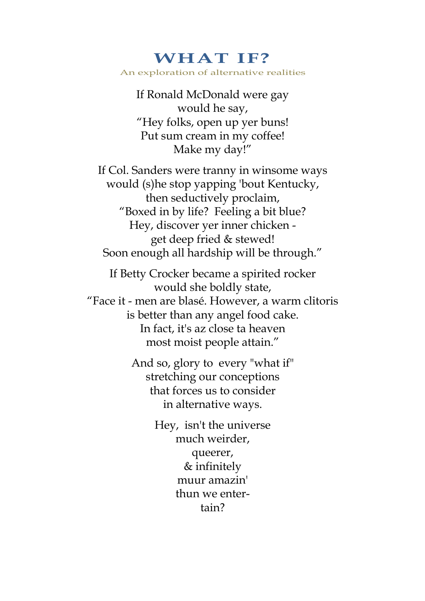## **WHAT IF?**  An exploration of alternative realities

If Ronald McDonald were gay would he say, "Hey folks, open up yer buns! Put sum cream in my coffee! Make my day!"

If Col. Sanders were tranny in winsome ways would (s)he stop yapping 'bout Kentucky, then seductively proclaim, "Boxed in by life? Feeling a bit blue? Hey, discover yer inner chicken get deep fried & stewed! Soon enough all hardship will be through."

If Betty Crocker became a spirited rocker would she boldly state, "Face it - men are blasé. However, a warm clitoris is better than any angel food cake. In fact, it's az close ta heaven most moist people attain."

> And so, glory to every "what if" stretching our conceptions that forces us to consider in alternative ways.

> > Hey, isn't the universe much weirder, queerer, & infinitely muur amazin' thun we entertain?